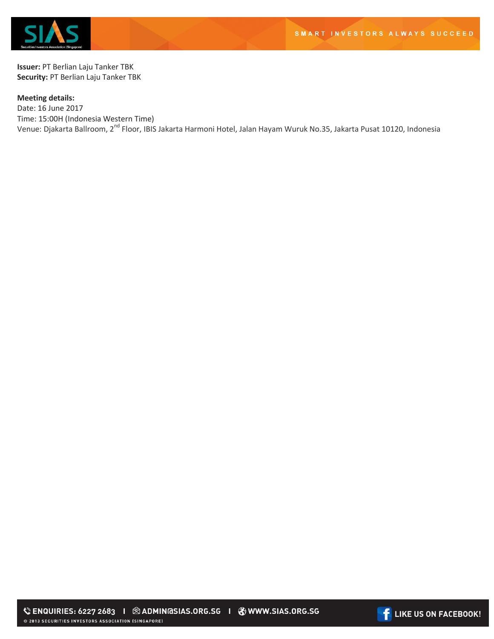

**Issuer:** PT Berlian Laju Tanker TBK **Security:** PT Berlian Laju Tanker TBK

## **Meeting details:**

Date: 16 June 2017 Time: 15:00H (Indonesia Western Time) Venue: Djakarta Ballroom, 2<sup>nd</sup> Floor, IBIS Jakarta Harmoni Hotel, Jalan Hayam Wuruk No.35, Jakarta Pusat 10120, Indonesia

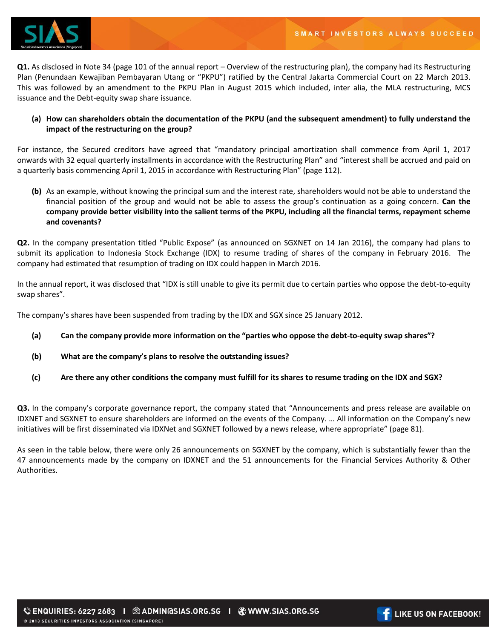

**Q1.** As disclosed in Note 34 (page 101 of the annual report – Overview of the restructuring plan), the company had its Restructuring Plan (Penundaan Kewajiban Pembayaran Utang or "PKPU") ratified by the Central Jakarta Commercial Court on 22 March 2013. This was followed by an amendment to the PKPU Plan in August 2015 which included, inter alia, the MLA restructuring, MCS issuance and the Debt-equity swap share issuance.

## **(a) How can shareholders obtain the documentation of the PKPU (and the subsequent amendment) to fully understand the impact of the restructuring on the group?**

For instance, the Secured creditors have agreed that "mandatory principal amortization shall commence from April 1, 2017 onwards with 32 equal quarterly installments in accordance with the Restructuring Plan" and "interest shall be accrued and paid on a quarterly basis commencing April 1, 2015 in accordance with Restructuring Plan" (page 112).

**(b)** As an example, without knowing the principal sum and the interest rate, shareholders would not be able to understand the financial position of the group and would not be able to assess the group's continuation as a going concern. **Can the company provide better visibility into the salient terms of the PKPU, including all the financial terms, repayment scheme and covenants?** 

**Q2.** In the company presentation titled "Public Expose" (as announced on SGXNET on 14 Jan 2016), the company had plans to submit its application to Indonesia Stock Exchange (IDX) to resume trading of shares of the company in February 2016. The company had estimated that resumption of trading on IDX could happen in March 2016.

In the annual report, it was disclosed that "IDX is still unable to give its permit due to certain parties who oppose the debt-to-equity swap shares".

The company's shares have been suspended from trading by the IDX and SGX since 25 January 2012.

- **(a) Can the company provide more information on the "parties who oppose the debt-to-equity swap shares"?**
- **(b) What are the company's plans to resolve the outstanding issues?**
- **(c) Are there any other conditions the company must fulfill for its shares to resume trading on the IDX and SGX?**

**Q3.** In the company's corporate governance report, the company stated that "Announcements and press release are available on IDXNET and SGXNET to ensure shareholders are informed on the events of the Company. … All information on the Company's new initiatives will be first disseminated via IDXNet and SGXNET followed by a news release, where appropriate" (page 81).

As seen in the table below, there were only 26 announcements on SGXNET by the company, which is substantially fewer than the 47 announcements made by the company on IDXNET and the 51 announcements for the Financial Services Authority & Other Authorities.